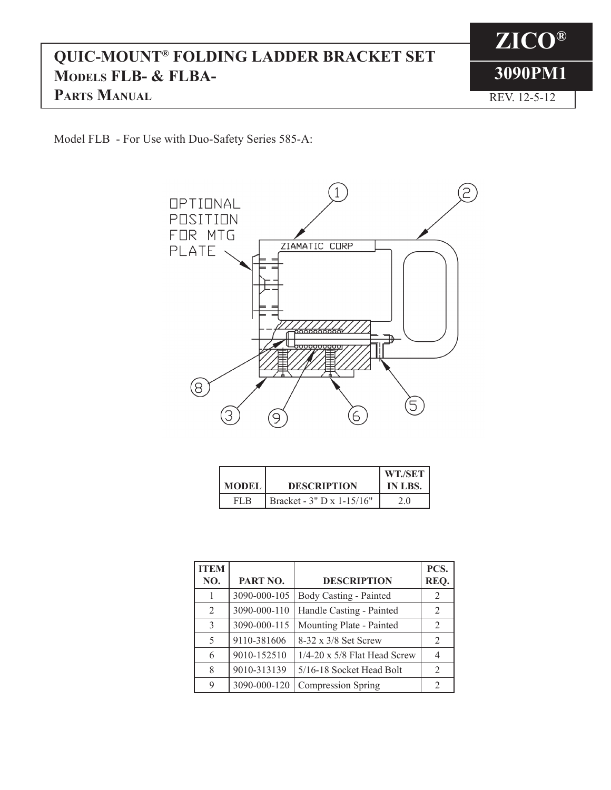## **QUIC-MOUNT® FOLDING LADDER BRACKET SET Models FLB- & FLBA-PARTS MANUAL REV. 12-5-12**

**ZICO® 3090PM1**

Model FLB - For Use with Duo-Safety Series 585-A:



| <b>MODEL</b> | <b>DESCRIPTION</b>           | WT./SET<br>IN LBS. |
|--------------|------------------------------|--------------------|
|              | Bracket - $3''$ D x 1-15/16" |                    |

| <b>ITEM</b><br>NO. | PART NO.     | <b>DESCRIPTION</b>            | PCS.<br>REQ.  |
|--------------------|--------------|-------------------------------|---------------|
|                    | 3090-000-105 | <b>Body Casting - Painted</b> | 2             |
| $\mathfrak{D}$     | 3090-000-110 | Handle Casting - Painted      | 2             |
| 3                  | 3090-000-115 | Mounting Plate - Painted      | 2             |
| 5                  | 9110-381606  | 8-32 x 3/8 Set Screw          | 2             |
| 6                  | 9010-152510  | 1/4-20 x 5/8 Flat Head Screw  | 4             |
| 8                  | 9010-313139  | 5/16-18 Socket Head Bolt      | 2             |
| 9                  | 3090-000-120 | Compression Spring            | $\mathcal{L}$ |